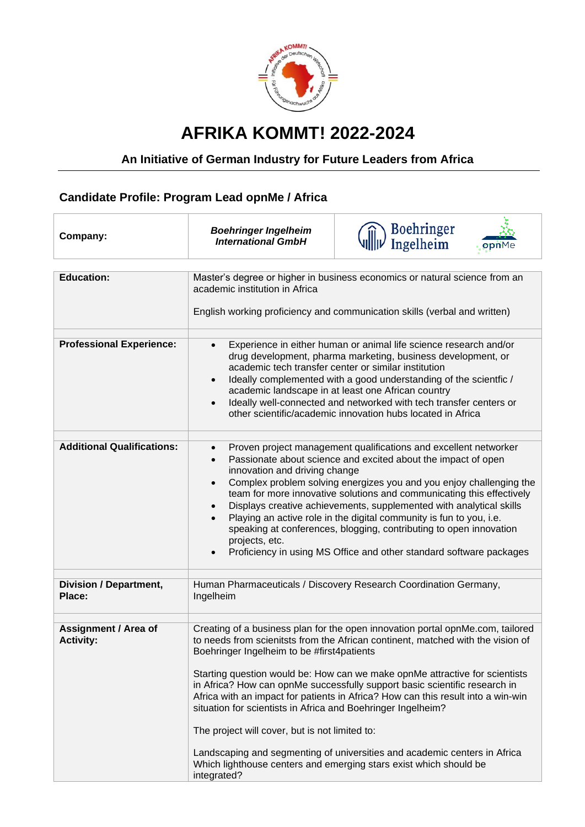

## **AFRIKA KOMMT! 2022-2024**

## **An Initiative of German Industry for Future Leaders from Africa**

## **Candidate Profile: Program Lead opnMe / Africa**

| Company:                                 | <b>Boehringer Ingelheim</b><br><b>International GmbH</b>                                                                                                                                                                                                                                                                                                                                                                                                                                                                                                                                                                                                                                                                                            | Boehringer<br>Ingelheim<br>opnMe |
|------------------------------------------|-----------------------------------------------------------------------------------------------------------------------------------------------------------------------------------------------------------------------------------------------------------------------------------------------------------------------------------------------------------------------------------------------------------------------------------------------------------------------------------------------------------------------------------------------------------------------------------------------------------------------------------------------------------------------------------------------------------------------------------------------------|----------------------------------|
| <b>Education:</b>                        | Master's degree or higher in business economics or natural science from an<br>academic institution in Africa<br>English working proficiency and communication skills (verbal and written)                                                                                                                                                                                                                                                                                                                                                                                                                                                                                                                                                           |                                  |
| <b>Professional Experience:</b>          | Experience in either human or animal life science research and/or<br>$\bullet$<br>drug development, pharma marketing, business development, or<br>academic tech transfer center or similar institution<br>Ideally complemented with a good understanding of the scientfic /<br>$\bullet$<br>academic landscape in at least one African country<br>Ideally well-connected and networked with tech transfer centers or<br>$\bullet$<br>other scientific/academic innovation hubs located in Africa                                                                                                                                                                                                                                                    |                                  |
| <b>Additional Qualifications:</b>        | Proven project management qualifications and excellent networker<br>$\bullet$<br>Passionate about science and excited about the impact of open<br>$\bullet$<br>innovation and driving change<br>Complex problem solving energizes you and you enjoy challenging the<br>$\bullet$<br>team for more innovative solutions and communicating this effectively<br>Displays creative achievements, supplemented with analytical skills<br>$\bullet$<br>Playing an active role in the digital community is fun to you, i.e.<br>speaking at conferences, blogging, contributing to open innovation<br>projects, etc.<br>Proficiency in using MS Office and other standard software packages                                                                 |                                  |
| <b>Division / Department,</b><br>Place:  | Human Pharmaceuticals / Discovery Research Coordination Germany,<br>Ingelheim                                                                                                                                                                                                                                                                                                                                                                                                                                                                                                                                                                                                                                                                       |                                  |
| Assignment / Area of<br><b>Activity:</b> | Creating of a business plan for the open innovation portal opnMe.com, tailored<br>to needs from scienitsts from the African continent, matched with the vision of<br>Boehringer Ingelheim to be #first4patients<br>Starting question would be: How can we make opnMe attractive for scientists<br>in Africa? How can opnMe successfully support basic scientific research in<br>Africa with an impact for patients in Africa? How can this result into a win-win<br>situation for scientists in Africa and Boehringer Ingelheim?<br>The project will cover, but is not limited to:<br>Landscaping and segmenting of universities and academic centers in Africa<br>Which lighthouse centers and emerging stars exist which should be<br>integrated? |                                  |